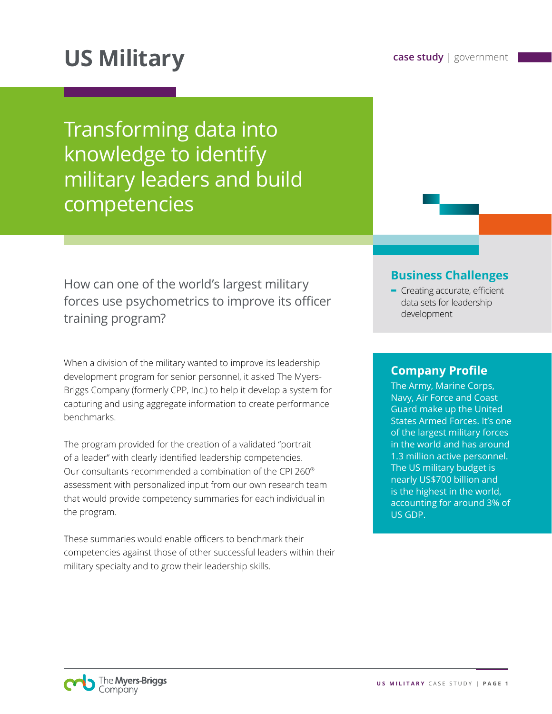# **US Military case study** | government

Transforming data into knowledge to identify military leaders and build competencies

How can one of the world's largest military forces use psychometrics to improve its officer training program?

When a division of the military wanted to improve its leadership development program for senior personnel, it asked The Myers-Briggs Company (formerly CPP, Inc.) to help it develop a system for capturing and using aggregate information to create performance benchmarks.

The program provided for the creation of a validated "portrait of a leader" with clearly identified leadership competencies. Our consultants recommended a combination of the CPI 260® assessment with personalized input from our own research team that would provide competency summaries for each individual in the program.

These summaries would enable officers to benchmark their competencies against those of other successful leaders within their military specialty and to grow their leadership skills.

### **Business Challenges**

**-** Creating accurate, efficient data sets for leadership development

## **Company Profile**

The Army, Marine Corps, Navy, Air Force and Coast Guard make up the United States Armed Forces. It's one of the largest military forces in the world and has around 1.3 million active personnel. The US military budget is nearly US\$700 billion and is the highest in the world, accounting for around 3% of US GDP.

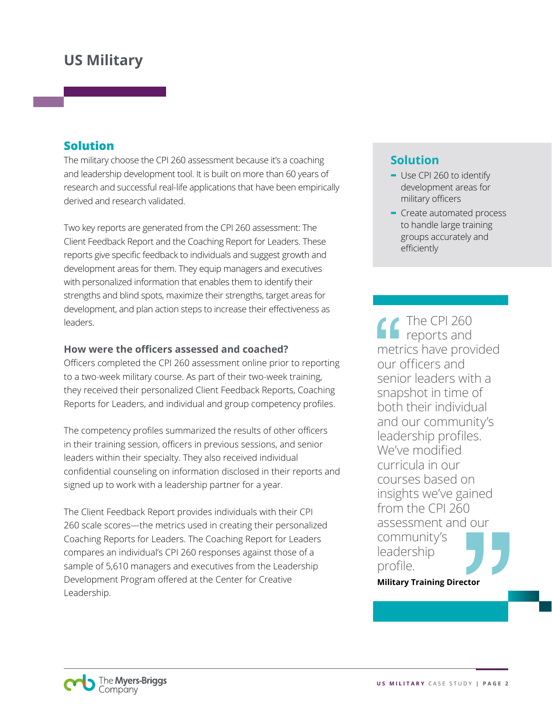### **Solution**

The military choose the CPI 260 assessment because it's a coaching and leadership development tool. It is built on more than 60 years of research and successful real-life applications that have been empirically derived and research validated.

Two key reports are generated from the CPI 260 assessment: The Client Feedback Report and the Coaching Report for Leaders. These reports give specific feedback to individuals and suggest growth and development areas for them. They equip managers and executives with personalized information that enables them to identify their strengths and blind spots, maximize their strengths, target areas for development, and plan action steps to increase their effectiveness as leaders.

#### **How were the officers assessed and coached?**

Officers completed the CPI 260 assessment online prior to reporting to a two-week military course. As part of their two-week training, they received their personalized Client Feedback Reports, Coaching Reports for Leaders, and individual and group competency profiles.

The competency profiles summarized the results of other officers in their training session, officers in previous sessions, and senior leaders within their specialty. They also received individual confidential counseling on information disclosed in their reports and signed up to work with a leadership partner for a year.

The Client Feedback Report provides individuals with their CPI 260 scale scores—the metrics used in creating their personalized Coaching Reports for Leaders. The Coaching Report for Leaders compares an individual's CPI 260 responses against those of a sample of 5,610 managers and executives from the Leadership Development Program offered at the Center for Creative Leadership.

### **Solution**

- **-** Use CPI 260 to identify development areas for military officers
- **-** Create automated process to handle large training groups accurately and efficiently

The CPI 260 reports and metrics have provided our officers and senior leaders with a snapshot in time of both their individual and our community's leadership profiles. We've modified curricula in our courses based on insights we've gained from the CPI 260 assessment and our community's leadership profile.

**Military Training Director**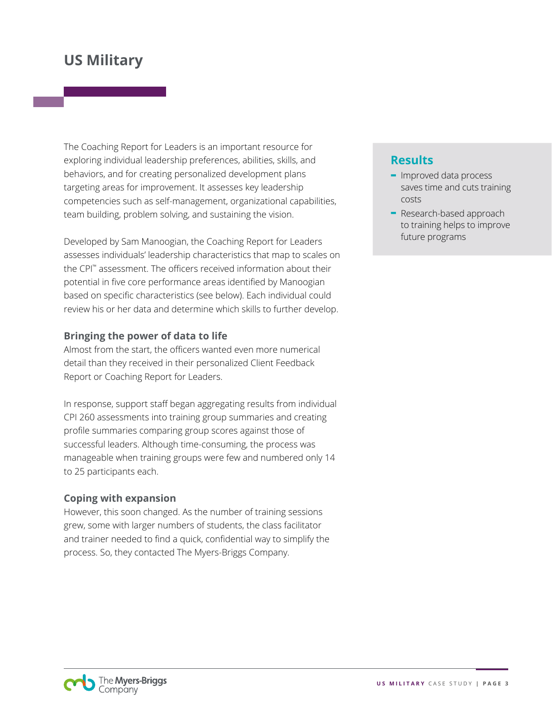The Coaching Report for Leaders is an important resource for exploring individual leadership preferences, abilities, skills, and behaviors, and for creating personalized development plans targeting areas for improvement. It assesses key leadership competencies such as self-management, organizational capabilities, team building, problem solving, and sustaining the vision.

Developed by Sam Manoogian, the Coaching Report for Leaders assesses individuals' leadership characteristics that map to scales on the CPI™ assessment. The officers received information about their potential in five core performance areas identified by Manoogian based on specific characteristics (see below). Each individual could review his or her data and determine which skills to further develop.

#### **Bringing the power of data to life**

Almost from the start, the officers wanted even more numerical detail than they received in their personalized Client Feedback Report or Coaching Report for Leaders.

In response, support staff began aggregating results from individual CPI 260 assessments into training group summaries and creating profile summaries comparing group scores against those of successful leaders. Although time-consuming, the process was manageable when training groups were few and numbered only 14 to 25 participants each.

#### **Coping with expansion**

However, this soon changed. As the number of training sessions grew, some with larger numbers of students, the class facilitator and trainer needed to find a quick, confidential way to simplify the process. So, they contacted The Myers-Briggs Company.

### **Results**

- **-** Improved data process saves time and cuts training costs
- **-** Research-based approach to training helps to improve future programs

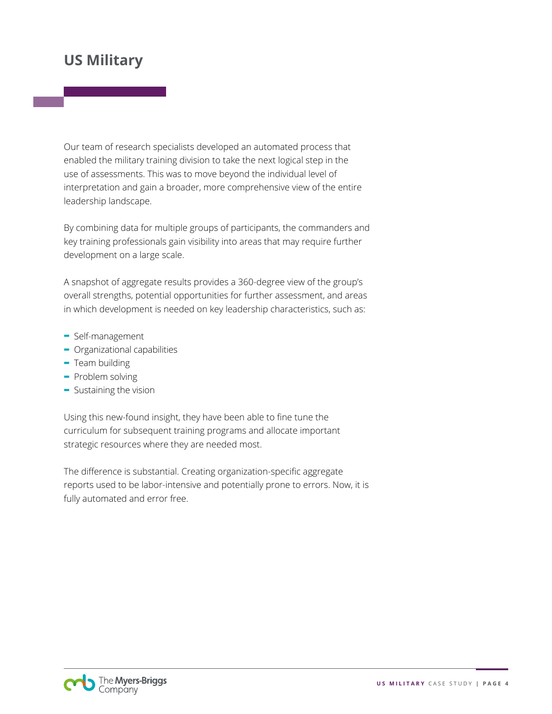Our team of research specialists developed an automated process that enabled the military training division to take the next logical step in the use of assessments. This was to move beyond the individual level of interpretation and gain a broader, more comprehensive view of the entire leadership landscape.

By combining data for multiple groups of participants, the commanders and key training professionals gain visibility into areas that may require further development on a large scale.

A snapshot of aggregate results provides a 360-degree view of the group's overall strengths, potential opportunities for further assessment, and areas in which development is needed on key leadership characteristics, such as:

- **-** Self-management
- **-** Organizational capabilities
- **-** Team building
- **-** Problem solving
- **-** Sustaining the vision

Using this new-found insight, they have been able to fine tune the curriculum for subsequent training programs and allocate important strategic resources where they are needed most.

The difference is substantial. Creating organization-specific aggregate reports used to be labor-intensive and potentially prone to errors. Now, it is fully automated and error free.

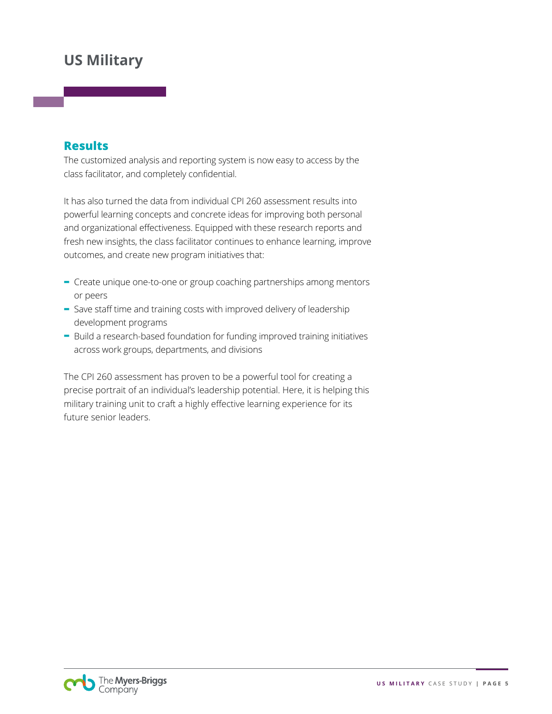### **Results**

The customized analysis and reporting system is now easy to access by the class facilitator, and completely confidential.

It has also turned the data from individual CPI 260 assessment results into powerful learning concepts and concrete ideas for improving both personal and organizational effectiveness. Equipped with these research reports and fresh new insights, the class facilitator continues to enhance learning, improve outcomes, and create new program initiatives that:

- **-** Create unique one-to-one or group coaching partnerships among mentors or peers
- **-** Save staff time and training costs with improved delivery of leadership development programs
- **-** Build a research-based foundation for funding improved training initiatives across work groups, departments, and divisions

The CPI 260 assessment has proven to be a powerful tool for creating a precise portrait of an individual's leadership potential. Here, it is helping this military training unit to craft a highly effective learning experience for its future senior leaders.

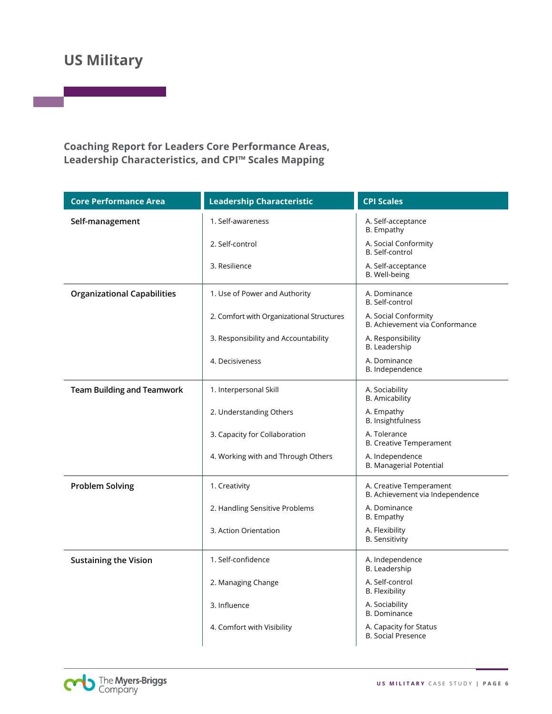**Coaching Report for Leaders Core Performance Areas, Leadership Characteristics, and CPI™ Scales Mapping**

| <b>Core Performance Area</b>       | <b>Leadership Characteristic</b>          | <b>CPI Scales</b>                                          |
|------------------------------------|-------------------------------------------|------------------------------------------------------------|
| Self-management                    | 1. Self-awareness                         | A. Self-acceptance<br>B. Empathy                           |
|                                    | 2. Self-control                           | A. Social Conformity<br>B. Self-control                    |
|                                    | 3. Resilience                             | A. Self-acceptance<br>B. Well-being                        |
| <b>Organizational Capabilities</b> | 1. Use of Power and Authority             | A. Dominance<br>B. Self-control                            |
|                                    | 2. Comfort with Organizational Structures | A. Social Conformity<br>B. Achievement via Conformance     |
|                                    | 3. Responsibility and Accountability      | A. Responsibility<br>B. Leadership                         |
|                                    | 4. Decisiveness                           | A. Dominance<br>B. Independence                            |
| <b>Team Building and Teamwork</b>  | 1. Interpersonal Skill                    | A. Sociability<br><b>B.</b> Amicability                    |
|                                    | 2. Understanding Others                   | A. Empathy<br>B. Insightfulness                            |
|                                    | 3. Capacity for Collaboration             | A. Tolerance<br><b>B. Creative Temperament</b>             |
|                                    | 4. Working with and Through Others        | A. Independence<br>B. Managerial Potential                 |
| <b>Problem Solving</b>             | 1. Creativity                             | A. Creative Temperament<br>B. Achievement via Independence |
|                                    | 2. Handling Sensitive Problems            | A. Dominance<br>B. Empathy                                 |
|                                    | 3. Action Orientation                     | A. Flexibility<br><b>B.</b> Sensitivity                    |
| <b>Sustaining the Vision</b>       | 1. Self-confidence                        | A. Independence<br>B. Leadership                           |
|                                    | 2. Managing Change                        | A. Self-control<br><b>B.</b> Flexibility                   |
|                                    | 3. Influence                              | A. Sociability<br><b>B.</b> Dominance                      |
|                                    | 4. Comfort with Visibility                | A. Capacity for Status<br><b>B. Social Presence</b>        |